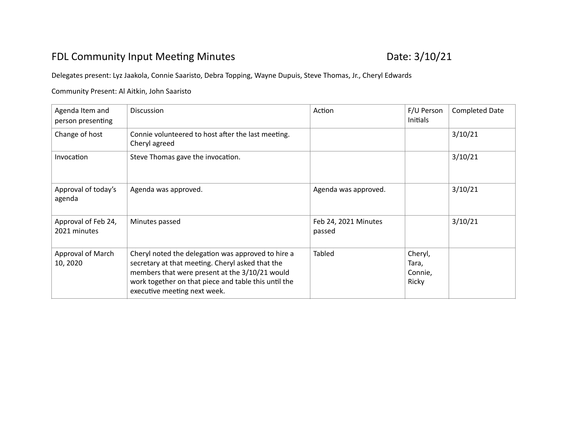## FDL Community Input Meeting Minutes **Date: 3/10/21**

## Delegates present: Lyz Jaakola, Connie Saaristo, Debra Topping, Wayne Dupuis, Steve Thomas, Jr., Cheryl Edwards

## Community Present: Al Aitkin, John Saaristo

| Agenda Item and<br>person presenting | <b>Discussion</b>                                                                                                                                                                                                                                | Action                         | F/U Person<br>Initials               | <b>Completed Date</b> |
|--------------------------------------|--------------------------------------------------------------------------------------------------------------------------------------------------------------------------------------------------------------------------------------------------|--------------------------------|--------------------------------------|-----------------------|
| Change of host                       | Connie volunteered to host after the last meeting.<br>Cheryl agreed                                                                                                                                                                              |                                |                                      | 3/10/21               |
| Invocation                           | Steve Thomas gave the invocation.                                                                                                                                                                                                                |                                |                                      | 3/10/21               |
| Approval of today's<br>agenda        | Agenda was approved.                                                                                                                                                                                                                             | Agenda was approved.           |                                      | 3/10/21               |
| Approval of Feb 24,<br>2021 minutes  | Minutes passed                                                                                                                                                                                                                                   | Feb 24, 2021 Minutes<br>passed |                                      | 3/10/21               |
| Approval of March<br>10, 2020        | Cheryl noted the delegation was approved to hire a<br>secretary at that meeting. Cheryl asked that the<br>members that were present at the 3/10/21 would<br>work together on that piece and table this until the<br>executive meeting next week. | Tabled                         | Cheryl,<br>Tara,<br>Connie,<br>Ricky |                       |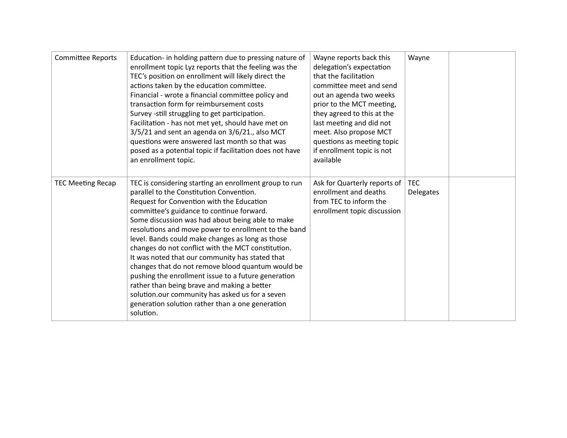| <b>Committee Reports</b> | Education- in holding pattern due to pressing nature of<br>enrollment topic Lyz reports that the feeling was the<br>TEC's position on enrollment will likely direct the<br>actions taken by the education committee.<br>Financial - wrote a financial committee policy and<br>transaction form for reimbursement costs<br>Survey -still struggling to get participation.<br>Facilitation - has not met yet, should have met on<br>3/5/21 and sent an agenda on 3/6/21., also MCT<br>questions were answered last month so that was<br>posed as a potential topic if facilitation does not have<br>an enrollment topic.                                                                                                                               | Wayne reports back this<br>delegation's expectation<br>that the facilitation<br>committee meet and send<br>out an agenda two weeks<br>prior to the MCT meeting,<br>they agreed to this at the<br>last meeting and did not<br>meet. Also propose MCT<br>questions as meeting topic<br>if enrollment topic is not<br>available | Wayne                   |
|--------------------------|------------------------------------------------------------------------------------------------------------------------------------------------------------------------------------------------------------------------------------------------------------------------------------------------------------------------------------------------------------------------------------------------------------------------------------------------------------------------------------------------------------------------------------------------------------------------------------------------------------------------------------------------------------------------------------------------------------------------------------------------------|------------------------------------------------------------------------------------------------------------------------------------------------------------------------------------------------------------------------------------------------------------------------------------------------------------------------------|-------------------------|
| <b>TEC Meeting Recap</b> | TEC is considering starting an enrollment group to run<br>parallel to the Constitution Convention.<br>Request for Convention with the Education<br>committee's guidance to continue forward.<br>Some discussion was had about being able to make<br>resolutions and move power to enrollment to the band<br>level. Bands could make changes as long as those<br>changes do not conflict with the MCT constitution.<br>It was noted that our community has stated that<br>changes that do not remove blood quantum would be<br>pushing the enrollment issue to a future generation<br>rather than being brave and making a better<br>solution.our community has asked us for a seven<br>generation solution rather than a one generation<br>solution. | Ask for Quarterly reports of<br>enrollment and deaths<br>from TEC to inform the<br>enrollment topic discussion                                                                                                                                                                                                               | <b>TEC</b><br>Delegates |